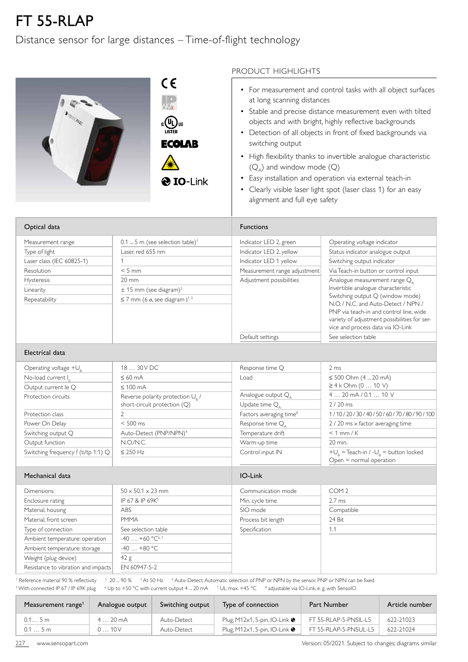## FT 55-RLAP

## Distance sensor for large distances – Time-of-flight technology

|                                                              | PRODUCT HIGHLIGHTS                                                                                                                                                                                                                                                                                     |
|--------------------------------------------------------------|--------------------------------------------------------------------------------------------------------------------------------------------------------------------------------------------------------------------------------------------------------------------------------------------------------|
| CE<br>շ (Սլ) <sub>us</sub><br><b>LISTED</b><br><b>ECOLAB</b> | • For measurement and control tasks with all object surfaces<br>at long scanning distances<br>• Stable and precise distance measurement even with tilted<br>objects and with bright, highly reflective backgrounds<br>• Detection of all objects in front of fixed backgrounds via<br>switching output |
|                                                              | • High flexibility thanks to invertible analogue characteristic<br>$(Q_4)$ and window mode $(Q)$                                                                                                                                                                                                       |
| <b>O</b> IO-Link                                             | Easy installation and operation via external teach-in<br>• Clearly visible laser light spot (laser class 1) for an easy<br>alignment and full eye safety                                                                                                                                               |

| Optical data              |                                                       | <b>Functions</b>             |                                                                                                                                                                                                         |
|---------------------------|-------------------------------------------------------|------------------------------|---------------------------------------------------------------------------------------------------------------------------------------------------------------------------------------------------------|
| Measurement range         | $0.1$ 5 m (see selection table) <sup>1</sup>          | Indicator LED 2, green       | Operating voltage indicator                                                                                                                                                                             |
| Type of light             | Laser, red 655 nm                                     | Indicator LED 2, yellow      | Status indicator analogue output                                                                                                                                                                        |
| Laser class (IEC 60825-1) |                                                       | Indicator LED 1 yellow       | Switching output indicator                                                                                                                                                                              |
| <b>Resolution</b>         | $< 5$ mm                                              | Measurement range adjustment | Via Teach-in button or control input                                                                                                                                                                    |
| <b>Hysteresis</b>         | $20 \, \text{mm}$                                     | Adjustment possibilities     | Analogue measurement range Q,                                                                                                                                                                           |
| Linearity                 | $\pm$ 15 mm (see diagram) <sup>2</sup>                |                              | Invertible analogue characteristic                                                                                                                                                                      |
| Repeatability             | $\leq$ 7 mm (6 $\sigma$ , see diagram) <sup>1,3</sup> |                              | Switching output Q (window mode)<br>N.O. / N.C. and Auto-Detect / NPN /<br>PNP via teach-in and control line, wide<br>variety of adjustment possibilities for ser-<br>vice and process data via IO-Link |
|                           |                                                       | Default settings             | See selection table                                                                                                                                                                                     |

## Electrical data

| Operating voltage $+U_R$            | 18  30 V DC                                  | Response time Q                     | 2 <sub>ms</sub>                                                        |  |
|-------------------------------------|----------------------------------------------|-------------------------------------|------------------------------------------------------------------------|--|
| No-load current $I_0$               | $\leq 60$ mA                                 | Load                                | $\leq 500$ Ohm (4  20 mA)                                              |  |
| Output current le Q                 | $\leq 100$ mA                                |                                     | ≥ 4 k Ohm (0  10 V)                                                    |  |
| Protection circuits                 | Reverse polarity protection U <sub>o</sub> / | Analogue output $Q_{\Lambda}$       | $420$ mA $/ 0.110$ V                                                   |  |
|                                     | short-circuit protection (Q)                 | Update time $Q_{\Lambda}$           | $2/20$ ms                                                              |  |
| Protection class                    |                                              | Factors averaging time <sup>8</sup> | 1/10/20/30/40/50/60/70/80/90/100                                       |  |
| Power On Delay                      | $< 500$ ms                                   | Response time Q <sub>A</sub>        | 2 / 20 ms x factor averaging time                                      |  |
| Switching output Q                  | Auto-Detect (PNP/NPN) <sup>4</sup>           | Temperature drift                   | $< 1$ mm / K                                                           |  |
| Output function                     | N.O/N.C.                                     | Warm-up time                        | 20 min.                                                                |  |
| Switching frequency f (ti/tp 1:1) Q | $\leq$ 250 Hz                                | Control input IN                    | $+U_R$ = Teach-in / - $U_R$ = button locked<br>Open = normal operation |  |

## Mechanical data International data International data International data International data International data

| <b>Dimensions</b>                   | $50 \times 50.1 \times 23$ mm | Communication mode | COM <sub>2</sub> |  |
|-------------------------------------|-------------------------------|--------------------|------------------|--|
| Enclosure rating                    | IP 67 & IP 69K <sup>5</sup>   | Min. cycle time    | $2.7 \text{ ms}$ |  |
| Material, housing                   | ABS                           | SIO mode           | Compatible       |  |
| Material, front screen              | <b>PMMA</b>                   | Process bit length | 24 Bit           |  |
| Type of connection                  | See selection table           | Specification      | 1.1              |  |
| Ambient temperature: operation      | $-40+60 °C^{6.7}$             |                    |                  |  |
| Ambient temperature: storage        | $-40+80$ °C                   |                    |                  |  |
| Weight (plug device)                | 42 g                          |                    |                  |  |
| Resistance to vibration and impacts | EN 60947-5-2                  |                    |                  |  |
|                                     |                               |                    |                  |  |

<sup>1</sup> Reference material 90 % reflectivity  $\,$   $\,^2$  20 ... 90 %  $\,$   $\,^3$  At 50 Hz  $\,$   $\,^4$  Auto-Detect: Automatic selection of PNP or NPN by the sensor, PNP or NPN can be fixed  $^5$  With connected IP 67 / IP 69K plug  $\phantom{1}^6$  Up to +50 °C with current output 4 … 20 mA  $\phantom{1}^7$  UL: max. +45 °C  $\phantom{1}^8$  adjustable via IO-Link, e. g. with SensolO

| Measurement range <sup>1</sup> | Analogue output  | Switching output | Type of connection                           | Part Number           | Article number |
|--------------------------------|------------------|------------------|----------------------------------------------|-----------------------|----------------|
| 0.15m                          | $420 \text{ mA}$ | Auto-Detect      | Plug, M12 $\times$ 1, 5-pin, IO-Link $\odot$ | FT 55-RLAP-5-PNSIL-L5 | 622-21023      |
| 0.15m                          | 010V             | Auto-Detect      | Plug, M12 $\times$ 1, 5-pin, IO-Link $\odot$ | FT 55-RLAP-5-PNSUL-L5 | 622-21024      |